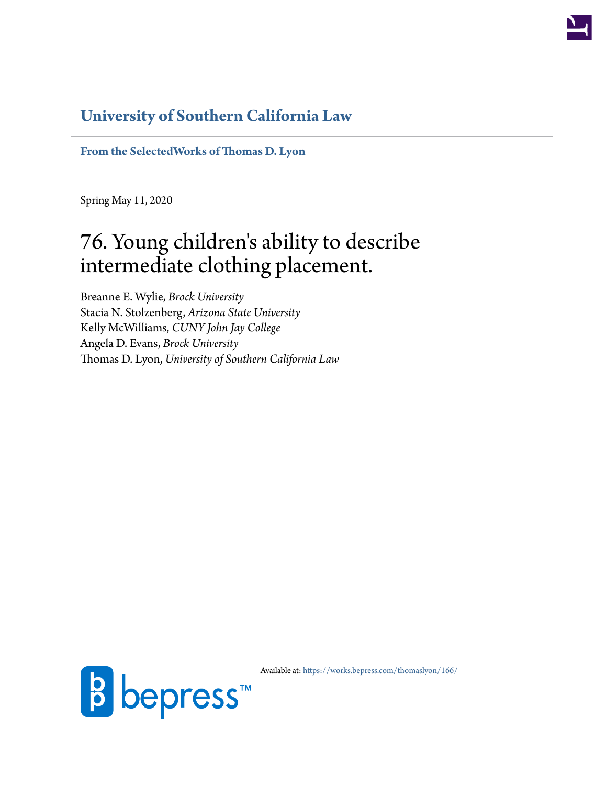

# **[University of Southern California Law](http://gould.usc.edu/)**

**[From the SelectedWorks of Thomas D. Lyon](https://works.bepress.com/thomaslyon/)**

Spring May 11, 2020

# 76. Young children's ability to describe intermediate clothing placement.

Breanne E. Wylie, *Brock University* Stacia N. Stolzenberg, *Arizona State University* Kelly McWilliams, *CUNY John Jay College* Angela D. Evans, *Brock University* Thomas D. Lyon, *University of Southern California Law*



Available at: <https://works.bepress.com/thomaslyon/166/>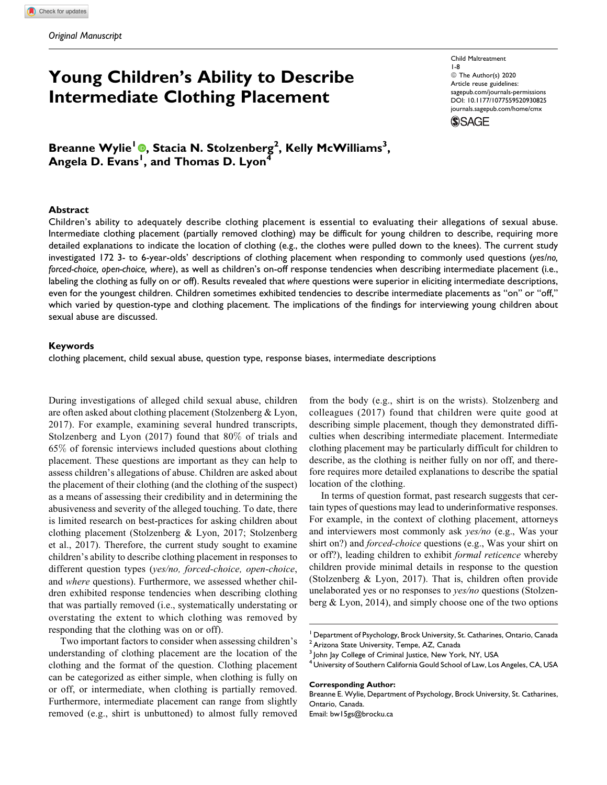# Young Children's Ability to Describe Intermediate Clothing Placement

Child Maltreatment 1-8 © The Author(s) 2020 Article reuse guidelines: [sagepub.com/journals-permissions](https://sagepub.com/journals-permissions) [DOI: 10.1177/1077559520930825](https://doi.org/10.1177/1077559520930825) [journals.sagepub.com/home/cmx](http://journals.sagepub.com/home/cmx)



Breanne Wylie<sup>l</sup> ®, Stacia N. Stolzenberg<sup>2</sup>, Kelly McWilliams<sup>3</sup>, Angela D. Evans<sup>I</sup>, and Thomas D. Lyon<sup>4</sup>

#### **Abstract**

Children's ability to adequately describe clothing placement is essential to evaluating their allegations of sexual abuse. Intermediate clothing placement (partially removed clothing) may be difficult for young children to describe, requiring more detailed explanations to indicate the location of clothing (e.g., the clothes were pulled down to the knees). The current study investigated 172 3- to 6-year-olds' descriptions of clothing placement when responding to commonly used questions (yes/no, forced-choice, open-choice, where), as well as children's on-off response tendencies when describing intermediate placement (i.e., labeling the clothing as fully on or off). Results revealed that where questions were superior in eliciting intermediate descriptions, even for the youngest children. Children sometimes exhibited tendencies to describe intermediate placements as "on" or "off," which varied by question-type and clothing placement. The implications of the findings for interviewing young children about sexual abuse are discussed.

#### Keywords

clothing placement, child sexual abuse, question type, response biases, intermediate descriptions

During investigations of alleged child sexual abuse, children are often asked about clothing placement (Stolzenberg & Lyon, 2017). For example, examining several hundred transcripts, Stolzenberg and Lyon (2017) found that 80% of trials and 65% of forensic interviews included questions about clothing placement. These questions are important as they can help to assess children's allegations of abuse. Children are asked about the placement of their clothing (and the clothing of the suspect) as a means of assessing their credibility and in determining the abusiveness and severity of the alleged touching. To date, there is limited research on best-practices for asking children about clothing placement (Stolzenberg & Lyon, 2017; Stolzenberg et al., 2017). Therefore, the current study sought to examine children's ability to describe clothing placement in responses to different question types (*yes/no, forced-choice, open-choice*, and where questions). Furthermore, we assessed whether children exhibited response tendencies when describing clothing that was partially removed (i.e., systematically understating or overstating the extent to which clothing was removed by responding that the clothing was on or off).

Two important factors to consider when assessing children's understanding of clothing placement are the location of the clothing and the format of the question. Clothing placement can be categorized as either simple, when clothing is fully on or off, or intermediate, when clothing is partially removed. Furthermore, intermediate placement can range from slightly removed (e.g., shirt is unbuttoned) to almost fully removed

from the body (e.g., shirt is on the wrists). Stolzenberg and colleagues (2017) found that children were quite good at describing simple placement, though they demonstrated difficulties when describing intermediate placement. Intermediate clothing placement may be particularly difficult for children to describe, as the clothing is neither fully on nor off, and therefore requires more detailed explanations to describe the spatial location of the clothing.

In terms of question format, past research suggests that certain types of questions may lead to underinformative responses. For example, in the context of clothing placement, attorneys and interviewers most commonly ask yes/no (e.g., Was your shirt on?) and *forced-choice* questions (e.g., Was your shirt on or off?), leading children to exhibit formal reticence whereby children provide minimal details in response to the question (Stolzenberg & Lyon, 2017). That is, children often provide unelaborated yes or no responses to *yes/no* questions (Stolzenberg & Lyon, 2014), and simply choose one of the two options

#### Corresponding Author:

Breanne E. Wylie, Department of Psychology, Brock University, St. Catharines, Ontario, Canada.

Email: [bw15gs@brocku.ca](mailto:bw15gs@brocku.ca)

<sup>&</sup>lt;sup>1</sup> Department of Psychology, Brock University, St. Catharines, Ontario, Canada <sup>2</sup> Arizona State University, Tempe, AZ, Canada

John Jay College of Criminal Justice, New York, NY, USA

 $^{\mathsf{H}}$ University of Southern California Gould School of Law, Los Angeles, CA, USA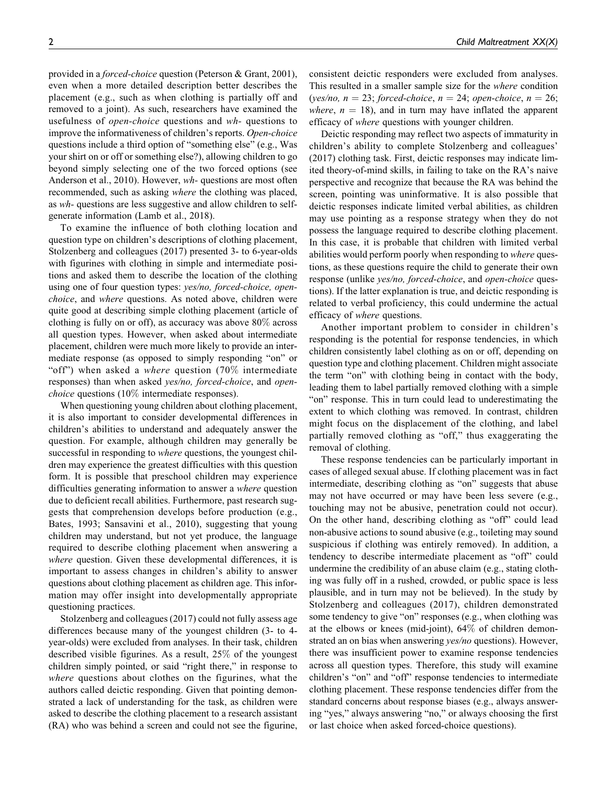provided in a forced-choice question (Peterson & Grant, 2001), even when a more detailed description better describes the placement (e.g., such as when clothing is partially off and removed to a joint). As such, researchers have examined the usefulness of open-choice questions and wh- questions to improve the informativeness of children's reports. Open-choice questions include a third option of "something else" (e.g., Was your shirt on or off or something else?), allowing children to go beyond simply selecting one of the two forced options (see Anderson et al., 2010). However, wh- questions are most often recommended, such as asking where the clothing was placed, as wh- questions are less suggestive and allow children to selfgenerate information (Lamb et al., 2018).

To examine the influence of both clothing location and question type on children's descriptions of clothing placement, Stolzenberg and colleagues (2017) presented 3- to 6-year-olds with figurines with clothing in simple and intermediate positions and asked them to describe the location of the clothing using one of four question types: yes/no, forced-choice, openchoice, and where questions. As noted above, children were quite good at describing simple clothing placement (article of clothing is fully on or off), as accuracy was above 80% across all question types. However, when asked about intermediate placement, children were much more likely to provide an intermediate response (as opposed to simply responding "on" or "off") when asked a where question  $(70\%$  intermediate responses) than when asked yes/no, forced-choice, and openchoice questions (10% intermediate responses).

When questioning young children about clothing placement, it is also important to consider developmental differences in children's abilities to understand and adequately answer the question. For example, although children may generally be successful in responding to where questions, the youngest children may experience the greatest difficulties with this question form. It is possible that preschool children may experience difficulties generating information to answer a where question due to deficient recall abilities. Furthermore, past research suggests that comprehension develops before production (e.g., Bates, 1993; Sansavini et al., 2010), suggesting that young children may understand, but not yet produce, the language required to describe clothing placement when answering a where question. Given these developmental differences, it is important to assess changes in children's ability to answer questions about clothing placement as children age. This information may offer insight into developmentally appropriate questioning practices.

Stolzenberg and colleagues (2017) could not fully assess age differences because many of the youngest children (3- to 4 year-olds) were excluded from analyses. In their task, children described visible figurines. As a result, 25% of the youngest children simply pointed, or said "right there," in response to where questions about clothes on the figurines, what the authors called deictic responding. Given that pointing demonstrated a lack of understanding for the task, as children were asked to describe the clothing placement to a research assistant (RA) who was behind a screen and could not see the figurine, consistent deictic responders were excluded from analyses. This resulted in a smaller sample size for the where condition (yes/no,  $n = 23$ ; forced-choice,  $n = 24$ ; open-choice,  $n = 26$ ; where,  $n = 18$ ), and in turn may have inflated the apparent efficacy of *where* questions with younger children.

Deictic responding may reflect two aspects of immaturity in children's ability to complete Stolzenberg and colleagues' (2017) clothing task. First, deictic responses may indicate limited theory-of-mind skills, in failing to take on the RA's naive perspective and recognize that because the RA was behind the screen, pointing was uninformative. It is also possible that deictic responses indicate limited verbal abilities, as children may use pointing as a response strategy when they do not possess the language required to describe clothing placement. In this case, it is probable that children with limited verbal abilities would perform poorly when responding to where questions, as these questions require the child to generate their own response (unlike yes/no, forced-choice, and open-choice questions). If the latter explanation is true, and deictic responding is related to verbal proficiency, this could undermine the actual efficacy of where questions.

Another important problem to consider in children's responding is the potential for response tendencies, in which children consistently label clothing as on or off, depending on question type and clothing placement. Children might associate the term "on" with clothing being in contact with the body, leading them to label partially removed clothing with a simple "on" response. This in turn could lead to underestimating the extent to which clothing was removed. In contrast, children might focus on the displacement of the clothing, and label partially removed clothing as "off," thus exaggerating the removal of clothing.

These response tendencies can be particularly important in cases of alleged sexual abuse. If clothing placement was in fact intermediate, describing clothing as "on" suggests that abuse may not have occurred or may have been less severe (e.g., touching may not be abusive, penetration could not occur). On the other hand, describing clothing as "off" could lead non-abusive actions to sound abusive (e.g., toileting may sound suspicious if clothing was entirely removed). In addition, a tendency to describe intermediate placement as "off" could undermine the credibility of an abuse claim (e.g., stating clothing was fully off in a rushed, crowded, or public space is less plausible, and in turn may not be believed). In the study by Stolzenberg and colleagues (2017), children demonstrated some tendency to give "on" responses (e.g., when clothing was at the elbows or knees (mid-joint), 64% of children demonstrated an on bias when answering *yes/no* questions). However, there was insufficient power to examine response tendencies across all question types. Therefore, this study will examine children's "on" and "off" response tendencies to intermediate clothing placement. These response tendencies differ from the standard concerns about response biases (e.g., always answering "yes," always answering "no," or always choosing the first or last choice when asked forced-choice questions).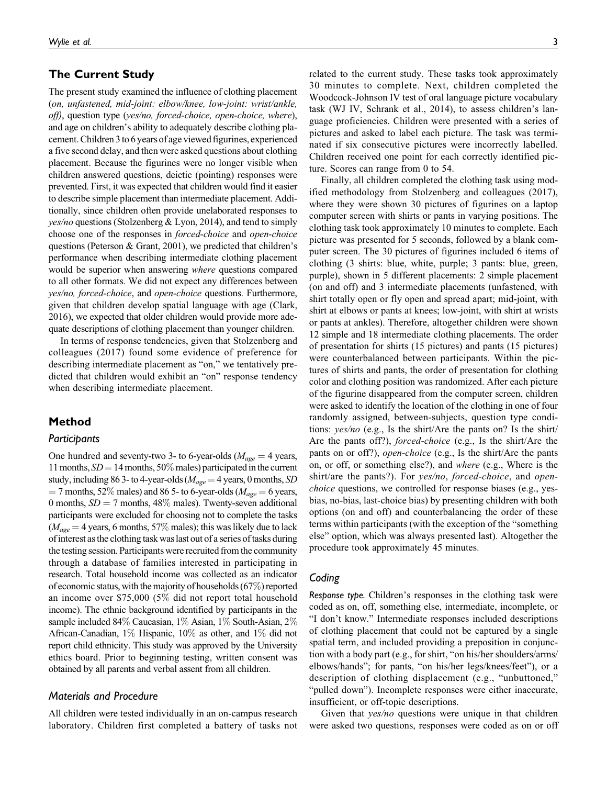# The Current Study

The present study examined the influence of clothing placement (on, unfastened, mid-joint: elbow/knee, low-joint: wrist/ankle, off), question type (yes/no, forced-choice, open-choice, where), and age on children's ability to adequately describe clothing placement.Children 3to 6 years of age viewed figurines, experienced a five second delay, and then were asked questions about clothing placement. Because the figurines were no longer visible when children answered questions, deictic (pointing) responses were prevented. First, it was expected that children would find it easier to describe simple placement than intermediate placement. Additionally, since children often provide unelaborated responses to  $yes/no$  questions (Stolzenberg & Lyon, 2014), and tend to simply choose one of the responses in forced-choice and open-choice questions (Peterson & Grant, 2001), we predicted that children's performance when describing intermediate clothing placement would be superior when answering where questions compared to all other formats. We did not expect any differences between yes/no, forced-choice, and open-choice questions. Furthermore, given that children develop spatial language with age (Clark, 2016), we expected that older children would provide more adequate descriptions of clothing placement than younger children.

In terms of response tendencies, given that Stolzenberg and colleagues (2017) found some evidence of preference for describing intermediate placement as "on," we tentatively predicted that children would exhibit an "on" response tendency when describing intermediate placement.

# Method

#### Participants

One hundred and seventy-two 3- to 6-year-olds ( $M_{age} = 4$  years, 11 months,  $SD = 14$  months, 50% males) participated in the current study, including 86 3- to 4-year-olds ( $M_{age} = 4$  years, 0 months, SD  $=$  7 months, 52% males) and 86 5- to 6-year-olds ( $M_{\text{age}} = 6$  years, 0 months,  $SD = 7$  months, 48% males). Twenty-seven additional participants were excluded for choosing not to complete the tasks  $(M_{\text{age}} = 4$  years, 6 months, 57% males); this was likely due to lack of interest as the clothing task waslast out of a series of tasks during the testing session. Participants were recruited from the community through a database of families interested in participating in research. Total household income was collected as an indicator of economic status, with the majority of households (67%) reported an income over \$75,000 (5% did not report total household income). The ethnic background identified by participants in the sample included 84% Caucasian, 1% Asian, 1% South-Asian, 2% African-Canadian, 1% Hispanic, 10% as other, and 1% did not report child ethnicity. This study was approved by the University ethics board. Prior to beginning testing, written consent was obtained by all parents and verbal assent from all children.

# Materials and Procedure

All children were tested individually in an on-campus research laboratory. Children first completed a battery of tasks not related to the current study. These tasks took approximately 30 minutes to complete. Next, children completed the Woodcock-Johnson IV test of oral language picture vocabulary task (WJ IV, Schrank et al., 2014), to assess children's language proficiencies. Children were presented with a series of pictures and asked to label each picture. The task was terminated if six consecutive pictures were incorrectly labelled. Children received one point for each correctly identified picture. Scores can range from 0 to 54.

Finally, all children completed the clothing task using modified methodology from Stolzenberg and colleagues (2017), where they were shown 30 pictures of figurines on a laptop computer screen with shirts or pants in varying positions. The clothing task took approximately 10 minutes to complete. Each picture was presented for 5 seconds, followed by a blank computer screen. The 30 pictures of figurines included 6 items of clothing (3 shirts: blue, white, purple; 3 pants: blue, green, purple), shown in 5 different placements: 2 simple placement (on and off) and 3 intermediate placements (unfastened, with shirt totally open or fly open and spread apart; mid-joint, with shirt at elbows or pants at knees; low-joint, with shirt at wrists or pants at ankles). Therefore, altogether children were shown 12 simple and 18 intermediate clothing placements. The order of presentation for shirts (15 pictures) and pants (15 pictures) were counterbalanced between participants. Within the pictures of shirts and pants, the order of presentation for clothing color and clothing position was randomized. After each picture of the figurine disappeared from the computer screen, children were asked to identify the location of the clothing in one of four randomly assigned, between-subjects, question type conditions: yes/no (e.g., Is the shirt/Are the pants on? Is the shirt/ Are the pants off?), *forced-choice* (e.g., Is the shirt/Are the pants on or off?), open-choice (e.g., Is the shirt/Are the pants on, or off, or something else?), and where (e.g., Where is the shirt/are the pants?). For yes/no, forced-choice, and openchoice questions, we controlled for response biases (e.g., yesbias, no-bias, last-choice bias) by presenting children with both options (on and off) and counterbalancing the order of these terms within participants (with the exception of the "something else" option, which was always presented last). Altogether the procedure took approximately 45 minutes.

# Coding

Response type. Children's responses in the clothing task were coded as on, off, something else, intermediate, incomplete, or "I don't know." Intermediate responses included descriptions of clothing placement that could not be captured by a single spatial term, and included providing a preposition in conjunction with a body part (e.g., for shirt, "on his/her shoulders/arms/ elbows/hands"; for pants, "on his/her legs/knees/feet"), or a description of clothing displacement (e.g., "unbuttoned," "pulled down"). Incomplete responses were either inaccurate, insufficient, or off-topic descriptions.

Given that *yes/no* questions were unique in that children were asked two questions, responses were coded as on or off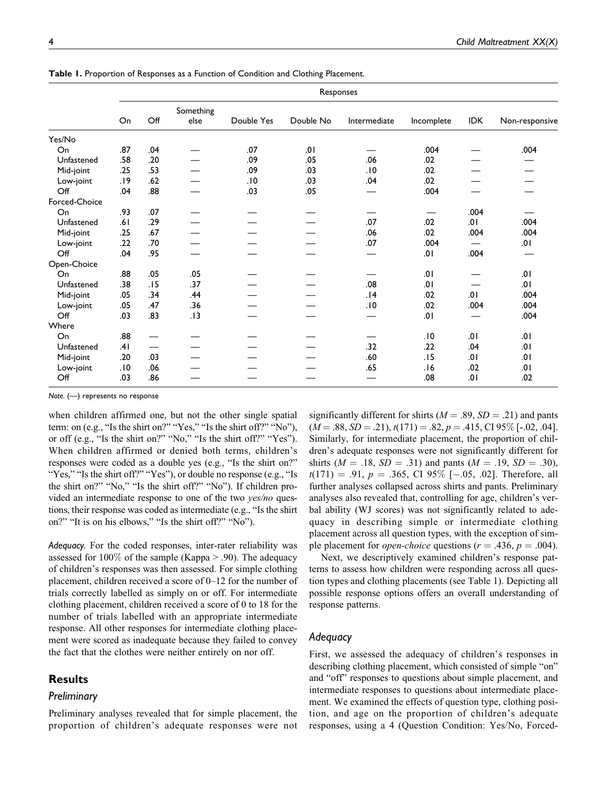|               | Responses |     |                   |            |           |              |            |      |                |  |
|---------------|-----------|-----|-------------------|------------|-----------|--------------|------------|------|----------------|--|
|               | On        | Off | Something<br>else | Double Yes | Double No | Intermediate | Incomplete | IDK  | Non-responsive |  |
| Yes/No        |           |     |                   |            |           |              |            |      |                |  |
| On            | .87       | .04 |                   | .07        | .01       |              | .004       |      | .004           |  |
| Unfastened    | .58       | .20 |                   | .09        | .05       | .06          | .02        |      |                |  |
| Mid-joint     | .25       | .53 |                   | .09        | .03       | .10          | .02        |      |                |  |
| Low-joint     | .19       | .62 |                   | .10        | .03       | .04          | .02        |      |                |  |
| Off           | .04       | .88 |                   | .03        | .05       |              | .004       |      |                |  |
| Forced-Choice |           |     |                   |            |           |              |            |      |                |  |
| On            | .93       | .07 |                   |            |           |              |            | .004 |                |  |
| Unfastened    | .61       | .29 |                   |            |           | .07          | .02        | 10.  | .004           |  |
| Mid-joint     | .25       | .67 |                   |            |           | .06          | .02        | .004 | .004           |  |
| Low-joint     | .22       | .70 |                   |            |           | .07          | .004       |      | 10.            |  |
| Off           | .04       | .95 |                   |            |           |              | .01        | .004 |                |  |
| Open-Choice   |           |     |                   |            |           |              |            |      |                |  |
| On            | .88       | .05 | .05               |            |           |              | .01        |      | 10.            |  |
| Unfastened    | .38       | .15 | .37               |            |           | .08          | .01        |      | 10.            |  |
| Mid-joint     | .05       | .34 | .44               |            |           | .14          | .02        | 10.  | .004           |  |
| Low-joint     | .05       | .47 | .36               |            |           | .10          | .02        | .004 | .004           |  |
| Off           | .03       | .83 | .13               |            |           |              | .01        |      | .004           |  |
| Where         |           |     |                   |            |           |              |            |      |                |  |
| On            | .88       |     |                   |            |           |              | .10        | .01  | 10.            |  |
| Unfastened    | .41       |     |                   |            |           | .32          | .22        | .04  | .01            |  |
| Mid-joint     | .20       | .03 |                   |            |           | .60          | .15        | .01  | .01            |  |
| Low-joint     | .10       | .06 |                   |            |           | .65          | .16        | .02  | 10.            |  |
| Off           | .03       | .86 |                   |            |           |              | .08        | .01  | .02            |  |

Table 1. Proportion of Responses as a Function of Condition and Clothing Placement.

Note. (—) represents no response

when children affirmed one, but not the other single spatial term: on (e.g., "Is the shirt on?" "Yes," "Is the shirt off?" "No"), or off (e.g., "Is the shirt on?" "No," "Is the shirt off?" "Yes"). When children affirmed or denied both terms, children's responses were coded as a double yes (e.g., "Is the shirt on?" "Yes," "Is the shirt off?" "Yes"), or double no response (e.g., "Is the shirt on?" "No," "Is the shirt off?" "No"). If children provided an intermediate response to one of the two yes/no questions, their response was coded as intermediate (e.g., "Is the shirt on?" "It is on his elbows," "Is the shirt off?" "No").

Adequacy. For the coded responses, inter-rater reliability was assessed for 100\% of the sample (Kappa  $> .90$ ). The adequacy of children's responses was then assessed. For simple clothing placement, children received a score of 0–12 for the number of trials correctly labelled as simply on or off. For intermediate clothing placement, children received a score of 0 to 18 for the number of trials labelled with an appropriate intermediate response. All other responses for intermediate clothing placement were scored as inadequate because they failed to convey the fact that the clothes were neither entirely on nor off.

# **Results**

#### **Preliminary**

Preliminary analyses revealed that for simple placement, the proportion of children's adequate responses were not

significantly different for shirts ( $M = .89$ ,  $SD = .21$ ) and pants  $(M = .88, SD = .21), t(171) = .82, p = .415, CI 95\%$  [-.02, .04]. Similarly, for intermediate placement, the proportion of children's adequate responses were not significantly different for shirts ( $M = .18$ ,  $SD = .31$ ) and pants ( $M = .19$ ,  $SD = .30$ ),  $t(171) = .91, p = .365, CI 95\% [-.05, .02]$ . Therefore, all further analyses collapsed across shirts and pants. Preliminary analyses also revealed that, controlling for age, children's verbal ability (WJ scores) was not significantly related to adequacy in describing simple or intermediate clothing placement across all question types, with the exception of simple placement for *open-choice* questions ( $r = .436$ ,  $p = .004$ ).

Next, we descriptively examined children's response patterns to assess how children were responding across all question types and clothing placements (see Table 1). Depicting all possible response options offers an overall understanding of response patterns.

#### Adequacy

First, we assessed the adequacy of children's responses in describing clothing placement, which consisted of simple "on" and "off" responses to questions about simple placement, and intermediate responses to questions about intermediate placement. We examined the effects of question type, clothing position, and age on the proportion of children's adequate responses, using a 4 (Question Condition: Yes/No, Forced-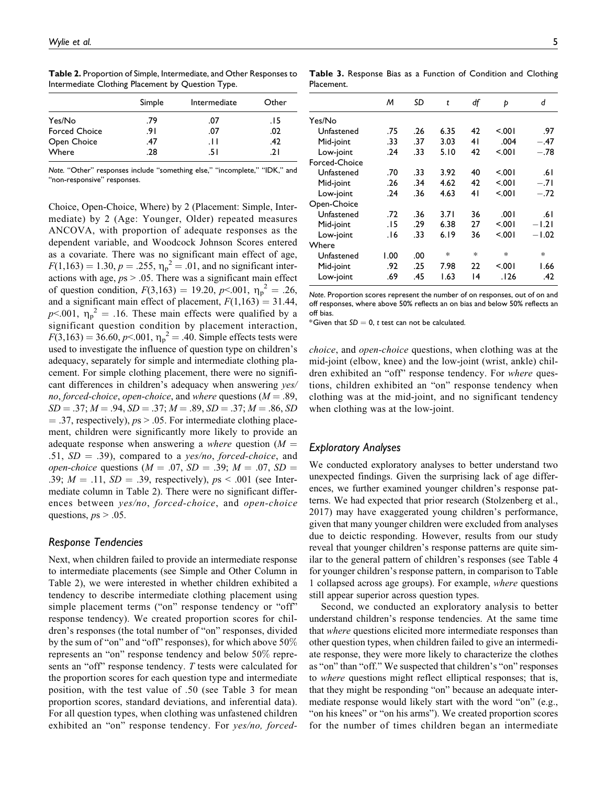Table 2. Proportion of Simple, Intermediate, and Other Responses to Intermediate Clothing Placement by Question Type.

|                      | Simple | Intermediate | Other |
|----------------------|--------|--------------|-------|
| Yes/No               | .79    | .07          | . I 5 |
| <b>Forced Choice</b> | .91    | .07          | .02   |
| Open Choice          | .47    | .H           | .42   |
| Where                | .28    | .5 I         | 21    |

Note. "Other" responses include "something else," "incomplete," "IDK," and "non-responsive" responses.

Choice, Open-Choice, Where) by 2 (Placement: Simple, Intermediate) by 2 (Age: Younger, Older) repeated measures ANCOVA, with proportion of adequate responses as the dependent variable, and Woodcock Johnson Scores entered as a covariate. There was no significant main effect of age,  $F(1,163) = 1.30, p = .255, \eta_p^2 = .01$ , and no significant interactions with age,  $ps > 0.05$ . There was a significant main effect of question condition,  $F(3,163) = 19.20$ ,  $p<.001$ ,  $\eta_p^2 = .26$ , and a significant main effect of placement,  $F(1,163) = 31.44$ ,  $p<.001$ ,  $\eta_p^2 = .16$ . These main effects were qualified by a significant question condition by placement interaction,  $F(3,163) = 36.60, p< .001, \eta_p^2 = .40$ . Simple effects tests were used to investigate the influence of question type on children's adequacy, separately for simple and intermediate clothing placement. For simple clothing placement, there were no significant differences in children's adequacy when answering yes/ no, forced-choice, open-choice, and where questions ( $M = .89$ ,  $SD = .37; M = .94, SD = .37; M = .89, SD = .37; M = .86, SD$  $=$  .37, respectively),  $ps > 0.05$ . For intermediate clothing placement, children were significantly more likely to provide an adequate response when answering a *where* question ( $M =$ .51,  $SD = .39$ ), compared to a yes/no, forced-choice, and *open-choice* questions ( $M = .07$ ,  $SD = .39$ ;  $M = .07$ ,  $SD =$ .39;  $M = .11$ ,  $SD = .39$ , respectively),  $ps < .001$  (see Intermediate column in Table 2). There were no significant differences between yes/no, forced-choice, and open-choice questions,  $ps > .05$ .

#### Response Tendencies

Next, when children failed to provide an intermediate response to intermediate placements (see Simple and Other Column in Table 2), we were interested in whether children exhibited a tendency to describe intermediate clothing placement using simple placement terms ("on" response tendency or "off" response tendency). We created proportion scores for children's responses (the total number of "on" responses, divided by the sum of "on" and "off" responses), for which above 50% represents an "on" response tendency and below 50% represents an "off" response tendency. T tests were calculated for the proportion scores for each question type and intermediate position, with the test value of .50 (see Table 3 for mean proportion scores, standard deviations, and inferential data). For all question types, when clothing was unfastened children exhibited an "on" response tendency. For yes/no, forced-

|               | M     | SD  | t      | df     | Þ      | d       |
|---------------|-------|-----|--------|--------|--------|---------|
| Yes/No        |       |     |        |        |        |         |
| Unfastened    | .75   | .26 | 6.35   | 42     | 5.001  | .97     |
| Mid-joint     | .33   | .37 | 3.03   | 41     | .004   | $-.47$  |
| Low-joint     | .24   | .33 | 5.10   | 42     | 5.001  | $-.78$  |
| Forced-Choice |       |     |        |        |        |         |
| Unfastened    | .70   | .33 | 3.92   | 40     | 5.001  | .61     |
| Mid-joint     | .26   | .34 | 4.62   | 42     | 5.001  | $-.71$  |
| Low-joint     | .24   | .36 | 4.63   | 41     | 5.001  | $-.72$  |
| Open-Choice   |       |     |        |        |        |         |
| Unfastened    | .72   | .36 | 3.71   | 36     | .001   | .61     |
| Mid-joint     | . I 5 | .29 | 6.38   | 27     | 5.001  | $-1.21$ |
| Low-joint     | 16.   | .33 | 6.19   | 36     | 5.001  | $-1.02$ |
| Where         |       |     |        |        |        |         |
| Unfastened    | 1.00  | .00 | $\ast$ | $\ast$ | $\ast$ | $\ast$  |
| Mid-joint     | .92   | .25 | 7.98   | 22     | 5.001  | 1.66    |
| Low-joint     | .69   | .45 | 1.63   | 14     | .126   | .42     |
|               |       |     |        |        |        |         |

Note. Proportion scores represent the number of on responses, out of on and off responses, where above 50% reflects an on bias and below 50% reflects an off bias.

 $^*$ Given that SD  $=$  0,  $t$  test can not be calculated.

choice, and open-choice questions, when clothing was at the mid-joint (elbow, knee) and the low-joint (wrist, ankle) children exhibited an "off" response tendency. For *where* questions, children exhibited an "on" response tendency when clothing was at the mid-joint, and no significant tendency when clothing was at the low-joint.

# Exploratory Analyses

Placement.

We conducted exploratory analyses to better understand two unexpected findings. Given the surprising lack of age differences, we further examined younger children's response patterns. We had expected that prior research (Stolzenberg et al., 2017) may have exaggerated young children's performance, given that many younger children were excluded from analyses due to deictic responding. However, results from our study reveal that younger children's response patterns are quite similar to the general pattern of children's responses (see Table 4 for younger children's response pattern, in comparison to Table 1 collapsed across age groups). For example, where questions still appear superior across question types.

Second, we conducted an exploratory analysis to better understand children's response tendencies. At the same time that where questions elicited more intermediate responses than other question types, when children failed to give an intermediate response, they were more likely to characterize the clothes as "on" than "off." We suspected that children's "on" responses to where questions might reflect elliptical responses; that is, that they might be responding "on" because an adequate intermediate response would likely start with the word "on" (e.g., "on his knees" or "on his arms"). We created proportion scores for the number of times children began an intermediate

Table 3. Response Bias as a Function of Condition and Clothing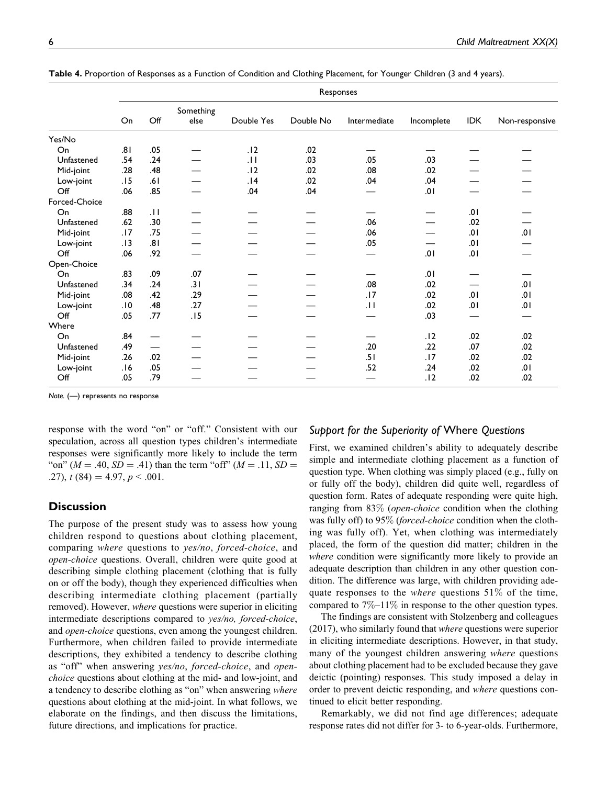|                | Responses |                          |                   |            |           |                 |            |            |                |
|----------------|-----------|--------------------------|-------------------|------------|-----------|-----------------|------------|------------|----------------|
|                | On        | Off                      | Something<br>else | Double Yes | Double No | Intermediate    | Incomplete | <b>IDK</b> | Non-responsive |
| Yes/No         |           |                          |                   |            |           |                 |            |            |                |
| On             | .81       | .05                      |                   | .12        | .02       |                 |            |            |                |
| Unfastened     | .54       | .24                      |                   | .11        | .03       | .05             | .03        |            |                |
| Mid-joint      | .28       | .48                      |                   | .12        | .02       | .08             | .02        |            |                |
| Low-joint      | .15       | .61                      |                   | .14        | .02       | .04             | .04        |            |                |
| Off            | .06       | .85                      |                   | .04        | .04       |                 | .01        |            |                |
| Forced-Choice  |           |                          |                   |            |           |                 |            |            |                |
| On             | .88       | $\overline{11}$          |                   |            |           |                 |            | .01        |                |
| Unfastened     | .62       | .30                      |                   |            |           | .06             |            | .02        |                |
| Mid-joint      | .17       | .75                      |                   |            |           | .06             |            | .01        | .01            |
| Low-joint      | .13       | .81                      |                   |            |           | .05             |            | .01        |                |
| $\mathsf{Off}$ | .06       | .92                      |                   |            |           |                 | .01        | .01        |                |
| Open-Choice    |           |                          |                   |            |           |                 |            |            |                |
| On             | .83       | .09                      | .07               |            |           |                 | .01        |            |                |
| Unfastened     | .34       | .24                      | .31               |            |           | .08             | .02        |            | .01            |
| Mid-joint      | .08       | .42                      | .29               |            |           | .17             | .02        | .01        | .01            |
| Low-joint      | .10       | .48                      | .27               |            |           | $\overline{11}$ | .02        | .01        | .01            |
| Off            | .05       | .77                      | .15               |            |           |                 | .03        |            |                |
| Where          |           |                          |                   |            |           |                 |            |            |                |
| On             | .84       |                          |                   |            |           |                 | .12        | .02        | .02            |
| Unfastened     | .49       | $\overline{\phantom{0}}$ |                   |            |           | .20             | .22        | .07        | .02            |
| Mid-joint      | .26       | .02                      |                   |            |           | .51             | .17        | .02        | .02            |
| Low-joint      | .16       | .05                      |                   |            |           | .52             | .24        | .02        | .01            |
| $\mathsf{Off}$ | .05       | .79                      |                   |            |           |                 | .12        | .02        | .02            |

Table 4. Proportion of Responses as a Function of Condition and Clothing Placement, for Younger Children (3 and 4 years).

Note. (—) represents no response

response with the word "on" or "off." Consistent with our speculation, across all question types children's intermediate responses were significantly more likely to include the term "on" ( $M = .40$ ,  $SD = .41$ ) than the term "off" ( $M = .11$ ,  $SD =$ .27),  $t(84) = 4.97, p < .001$ .

#### **Discussion**

The purpose of the present study was to assess how young children respond to questions about clothing placement, comparing where questions to yes/no, forced-choice, and open-choice questions. Overall, children were quite good at describing simple clothing placement (clothing that is fully on or off the body), though they experienced difficulties when describing intermediate clothing placement (partially removed). However, *where* questions were superior in eliciting intermediate descriptions compared to yes/no, forced-choice, and open-choice questions, even among the youngest children. Furthermore, when children failed to provide intermediate descriptions, they exhibited a tendency to describe clothing as "off" when answering yes/no, forced-choice, and openchoice questions about clothing at the mid- and low-joint, and a tendency to describe clothing as "on" when answering where questions about clothing at the mid-joint. In what follows, we elaborate on the findings, and then discuss the limitations, future directions, and implications for practice.

## Support for the Superiority of Where Questions

First, we examined children's ability to adequately describe simple and intermediate clothing placement as a function of question type. When clothing was simply placed (e.g., fully on or fully off the body), children did quite well, regardless of question form. Rates of adequate responding were quite high, ranging from 83% (open-choice condition when the clothing was fully off) to 95% (*forced-choice* condition when the clothing was fully off). Yet, when clothing was intermediately placed, the form of the question did matter; children in the where condition were significantly more likely to provide an adequate description than children in any other question condition. The difference was large, with children providing adequate responses to the *where* questions  $51\%$  of the time, compared to 7%–11% in response to the other question types.

The findings are consistent with Stolzenberg and colleagues (2017), who similarly found that where questions were superior in eliciting intermediate descriptions. However, in that study, many of the youngest children answering where questions about clothing placement had to be excluded because they gave deictic (pointing) responses. This study imposed a delay in order to prevent deictic responding, and where questions continued to elicit better responding.

Remarkably, we did not find age differences; adequate response rates did not differ for 3- to 6-year-olds. Furthermore,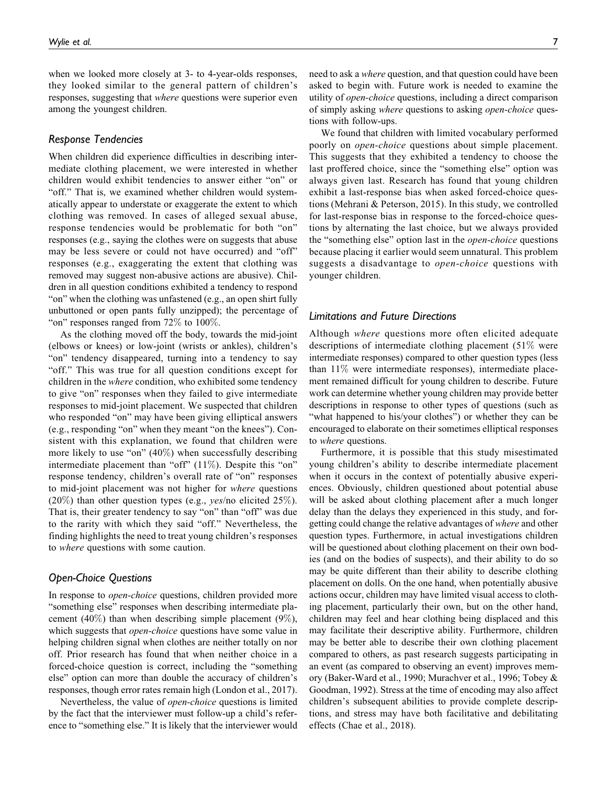when we looked more closely at 3- to 4-year-olds responses, they looked similar to the general pattern of children's responses, suggesting that where questions were superior even among the youngest children.

#### Response Tendencies

When children did experience difficulties in describing intermediate clothing placement, we were interested in whether children would exhibit tendencies to answer either "on" or "off." That is, we examined whether children would systematically appear to understate or exaggerate the extent to which clothing was removed. In cases of alleged sexual abuse, response tendencies would be problematic for both "on" responses (e.g., saying the clothes were on suggests that abuse may be less severe or could not have occurred) and "off" responses (e.g., exaggerating the extent that clothing was removed may suggest non-abusive actions are abusive). Children in all question conditions exhibited a tendency to respond "on" when the clothing was unfastened (e.g., an open shirt fully unbuttoned or open pants fully unzipped); the percentage of "on" responses ranged from 72% to 100%.

As the clothing moved off the body, towards the mid-joint (elbows or knees) or low-joint (wrists or ankles), children's "on" tendency disappeared, turning into a tendency to say "off." This was true for all question conditions except for children in the where condition, who exhibited some tendency to give "on" responses when they failed to give intermediate responses to mid-joint placement. We suspected that children who responded "on" may have been giving elliptical answers (e.g., responding "on" when they meant "on the knees"). Consistent with this explanation, we found that children were more likely to use "on" (40%) when successfully describing intermediate placement than "off"  $(11\%)$ . Despite this "on" response tendency, children's overall rate of "on" responses to mid-joint placement was not higher for where questions (20%) than other question types (e.g.,  $yes/no$  elicited 25%). That is, their greater tendency to say "on" than "off" was due to the rarity with which they said "off." Nevertheless, the finding highlights the need to treat young children's responses to where questions with some caution.

#### Open-Choice Questions

In response to *open-choice* questions, children provided more "something else" responses when describing intermediate placement (40%) than when describing simple placement (9%), which suggests that *open-choice* questions have some value in helping children signal when clothes are neither totally on nor off. Prior research has found that when neither choice in a forced-choice question is correct, including the "something else" option can more than double the accuracy of children's responses, though error rates remain high (London et al., 2017).

Nevertheless, the value of open-choice questions is limited by the fact that the interviewer must follow-up a child's reference to "something else." It is likely that the interviewer would need to ask a *where* question, and that question could have been asked to begin with. Future work is needed to examine the utility of open-choice questions, including a direct comparison of simply asking where questions to asking open-choice questions with follow-ups.

We found that children with limited vocabulary performed poorly on open-choice questions about simple placement. This suggests that they exhibited a tendency to choose the last proffered choice, since the "something else" option was always given last. Research has found that young children exhibit a last-response bias when asked forced-choice questions (Mehrani & Peterson, 2015). In this study, we controlled for last-response bias in response to the forced-choice questions by alternating the last choice, but we always provided the "something else" option last in the open-choice questions because placing it earlier would seem unnatural. This problem suggests a disadvantage to open-choice questions with younger children.

# Limitations and Future Directions

Although where questions more often elicited adequate descriptions of intermediate clothing placement (51% were intermediate responses) compared to other question types (less than 11% were intermediate responses), intermediate placement remained difficult for young children to describe. Future work can determine whether young children may provide better descriptions in response to other types of questions (such as "what happened to his/your clothes") or whether they can be encouraged to elaborate on their sometimes elliptical responses to where questions.

Furthermore, it is possible that this study misestimated young children's ability to describe intermediate placement when it occurs in the context of potentially abusive experiences. Obviously, children questioned about potential abuse will be asked about clothing placement after a much longer delay than the delays they experienced in this study, and forgetting could change the relative advantages of where and other question types. Furthermore, in actual investigations children will be questioned about clothing placement on their own bodies (and on the bodies of suspects), and their ability to do so may be quite different than their ability to describe clothing placement on dolls. On the one hand, when potentially abusive actions occur, children may have limited visual access to clothing placement, particularly their own, but on the other hand, children may feel and hear clothing being displaced and this may facilitate their descriptive ability. Furthermore, children may be better able to describe their own clothing placement compared to others, as past research suggests participating in an event (as compared to observing an event) improves memory (Baker-Ward et al., 1990; Murachver et al., 1996; Tobey & Goodman, 1992). Stress at the time of encoding may also affect children's subsequent abilities to provide complete descriptions, and stress may have both facilitative and debilitating effects (Chae et al., 2018).